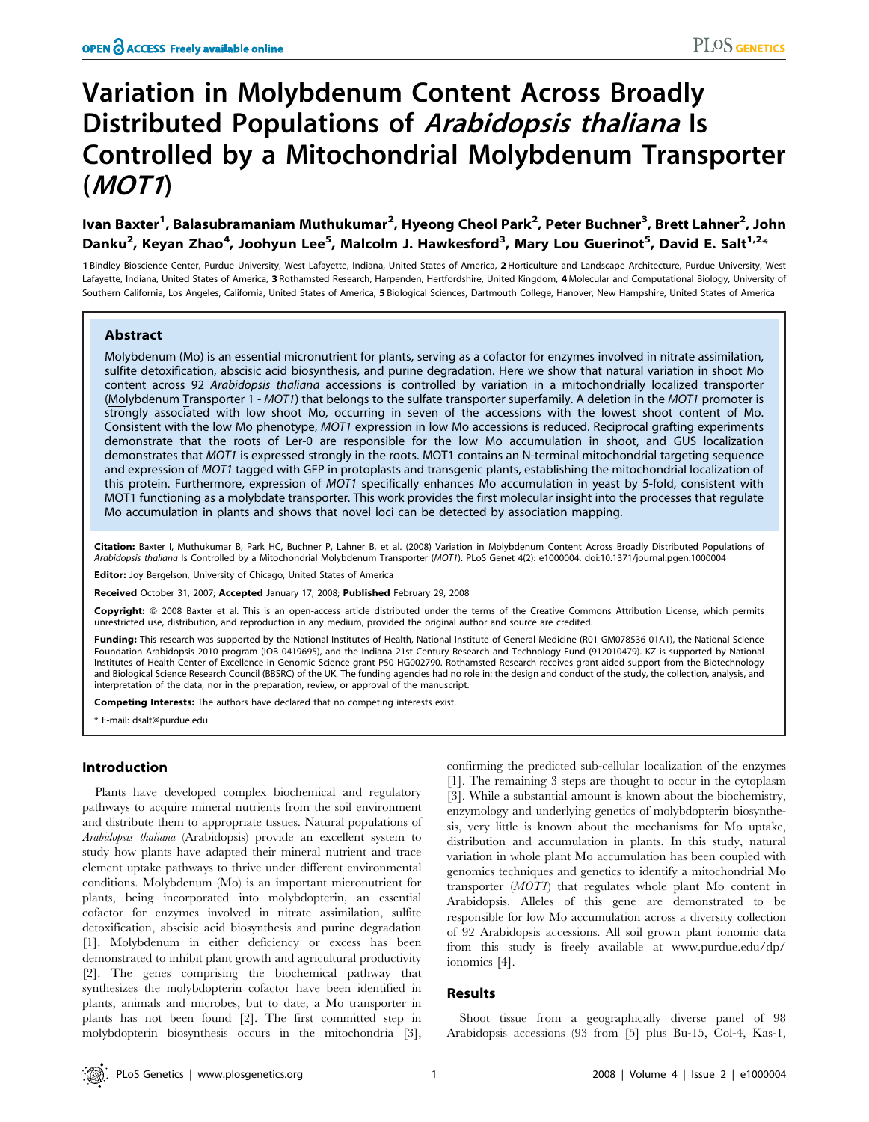# Variation in Molybdenum Content Across Broadly Distributed Populations of Arabidopsis thaliana Is Controlled by a Mitochondrial Molybdenum Transporter (MOT1)

## lvan Baxter<sup>1</sup>, Balasubramaniam Muthukumar<sup>2</sup>, Hyeong Cheol Park<sup>2</sup>, Peter Buchner<sup>3</sup>, Brett Lahner<sup>2</sup>, John Danku<sup>2</sup>, Keyan Zhao<sup>4</sup>, Joohyun Lee<sup>5</sup>, Malcolm J. Hawkesford<sup>3</sup>, Mary Lou Guerinot<sup>5</sup>, David E. Salt<sup>1,2</sup>\*

1 Bindley Bioscience Center, Purdue University, West Lafayette, Indiana, United States of America, 2 Horticulture and Landscape Architecture, Purdue University, West Lafayette, Indiana, United States of America, 3 Rothamsted Research, Harpenden, Hertfordshire, United Kingdom, 4 Molecular and Computational Biology, University of Southern California, Los Angeles, California, United States of America, 5 Biological Sciences, Dartmouth College, Hanover, New Hampshire, United States of America

## Abstract

Molybdenum (Mo) is an essential micronutrient for plants, serving as a cofactor for enzymes involved in nitrate assimilation, sulfite detoxification, abscisic acid biosynthesis, and purine degradation. Here we show that natural variation in shoot Mo content across 92 Arabidopsis thaliana accessions is controlled by variation in a mitochondrially localized transporter (Molybdenum Transporter 1 - MOT1) that belongs to the sulfate transporter superfamily. A deletion in the MOT1 promoter is strongly associated with low shoot Mo, occurring in seven of the accessions with the lowest shoot content of Mo. Consistent with the low Mo phenotype, MOT1 expression in low Mo accessions is reduced. Reciprocal grafting experiments demonstrate that the roots of Ler-0 are responsible for the low Mo accumulation in shoot, and GUS localization demonstrates that MOT1 is expressed strongly in the roots. MOT1 contains an N-terminal mitochondrial targeting sequence and expression of MOT1 tagged with GFP in protoplasts and transgenic plants, establishing the mitochondrial localization of this protein. Furthermore, expression of MOT1 specifically enhances Mo accumulation in yeast by 5-fold, consistent with MOT1 functioning as a molybdate transporter. This work provides the first molecular insight into the processes that regulate Mo accumulation in plants and shows that novel loci can be detected by association mapping.

Citation: Baxter I, Muthukumar B, Park HC, Buchner P, Lahner B, et al. (2008) Variation in Molybdenum Content Across Broadly Distributed Populations of Arabidopsis thaliana Is Controlled by a Mitochondrial Molybdenum Transporter (MOT1). PLoS Genet 4(2): e1000004. doi:10.1371/journal.pgen.1000004

Editor: Joy Bergelson, University of Chicago, United States of America

Received October 31, 2007; Accepted January 17, 2008; Published February 29, 2008

Copyright: @ 2008 Baxter et al. This is an open-access article distributed under the terms of the Creative Commons Attribution License, which permits unrestricted use, distribution, and reproduction in any medium, provided the original author and source are credited.

Funding: This research was supported by the National Institutes of Health, National Institute of General Medicine (R01 GM078536-01A1), the National Science Foundation Arabidopsis 2010 program (IOB 0419695), and the Indiana 21st Century Research and Technology Fund (912010479). KZ is supported by National Institutes of Health Center of Excellence in Genomic Science grant P50 HG002790. Rothamsted Research receives grant-aided support from the Biotechnology and Biological Science Research Council (BBSRC) of the UK. The funding agencies had no role in: the design and conduct of the study, the collection, analysis, and interpretation of the data, nor in the preparation, review, or approval of the manuscript.

Competing Interests: The authors have declared that no competing interests exist.

\* E-mail: dsalt@purdue.edu

#### Introduction

Plants have developed complex biochemical and regulatory pathways to acquire mineral nutrients from the soil environment and distribute them to appropriate tissues. Natural populations of Arabidopsis thaliana (Arabidopsis) provide an excellent system to study how plants have adapted their mineral nutrient and trace element uptake pathways to thrive under different environmental conditions. Molybdenum (Mo) is an important micronutrient for plants, being incorporated into molybdopterin, an essential cofactor for enzymes involved in nitrate assimilation, sulfite detoxification, abscisic acid biosynthesis and purine degradation [1]. Molybdenum in either deficiency or excess has been demonstrated to inhibit plant growth and agricultural productivity [2]. The genes comprising the biochemical pathway that synthesizes the molybdopterin cofactor have been identified in plants, animals and microbes, but to date, a Mo transporter in plants has not been found [2]. The first committed step in molybdopterin biosynthesis occurs in the mitochondria [3],

confirming the predicted sub-cellular localization of the enzymes [1]. The remaining 3 steps are thought to occur in the cytoplasm [3]. While a substantial amount is known about the biochemistry, enzymology and underlying genetics of molybdopterin biosynthesis, very little is known about the mechanisms for Mo uptake, distribution and accumulation in plants. In this study, natural variation in whole plant Mo accumulation has been coupled with genomics techniques and genetics to identify a mitochondrial Mo transporter (MOT1) that regulates whole plant Mo content in Arabidopsis. Alleles of this gene are demonstrated to be responsible for low Mo accumulation across a diversity collection of 92 Arabidopsis accessions. All soil grown plant ionomic data from this study is freely available at www.purdue.edu/dp/ ionomics [4].

#### Results

Shoot tissue from a geographically diverse panel of 98 Arabidopsis accessions (93 from [5] plus Bu-15, Col-4, Kas-1,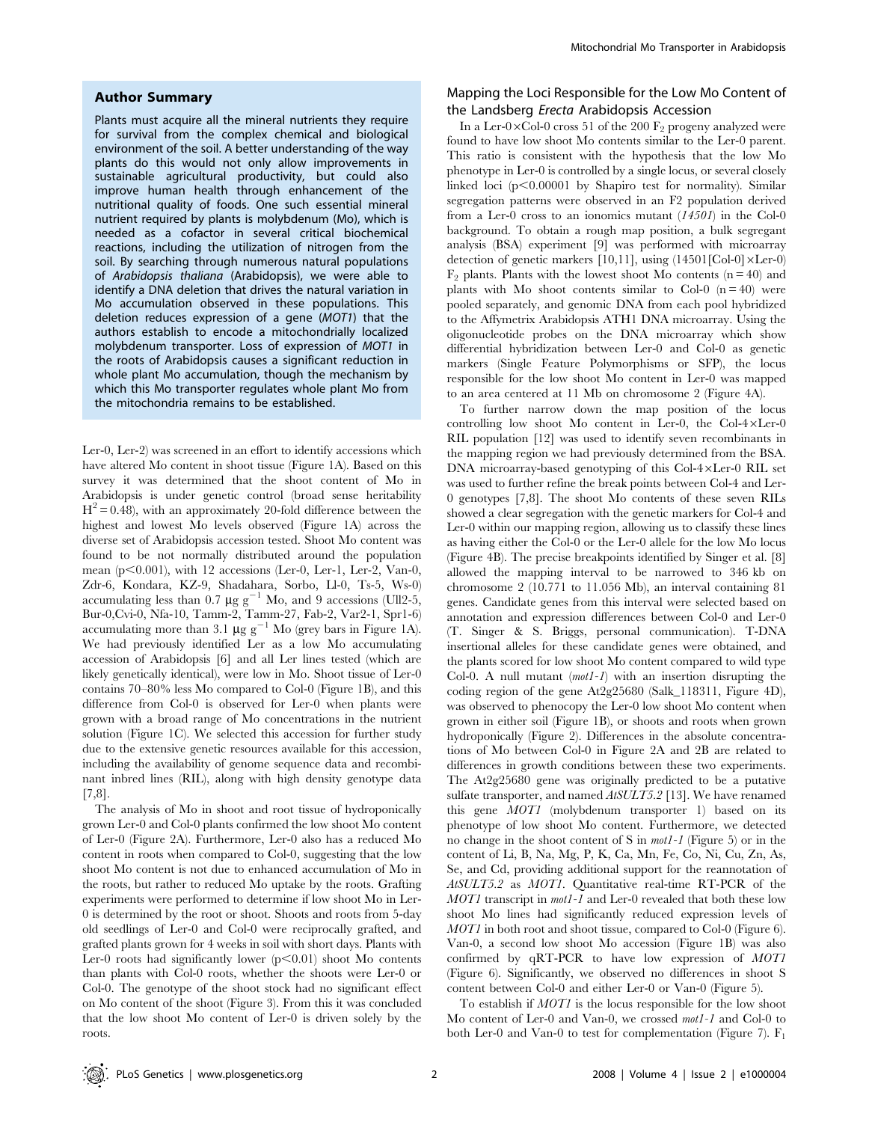#### Author Summary

Plants must acquire all the mineral nutrients they require for survival from the complex chemical and biological environment of the soil. A better understanding of the way plants do this would not only allow improvements in sustainable agricultural productivity, but could also improve human health through enhancement of the nutritional quality of foods. One such essential mineral nutrient required by plants is molybdenum (Mo), which is needed as a cofactor in several critical biochemical reactions, including the utilization of nitrogen from the soil. By searching through numerous natural populations of Arabidopsis thaliana (Arabidopsis), we were able to identify a DNA deletion that drives the natural variation in Mo accumulation observed in these populations. This deletion reduces expression of a gene (MOT1) that the authors establish to encode a mitochondrially localized molybdenum transporter. Loss of expression of MOT1 in the roots of Arabidopsis causes a significant reduction in whole plant Mo accumulation, though the mechanism by which this Mo transporter regulates whole plant Mo from the mitochondria remains to be established.

Ler-0, Ler-2) was screened in an effort to identify accessions which have altered Mo content in shoot tissue (Figure 1A). Based on this survey it was determined that the shoot content of Mo in Arabidopsis is under genetic control (broad sense heritability  $H^2 = 0.48$ ), with an approximately 20-fold difference between the highest and lowest Mo levels observed (Figure 1A) across the diverse set of Arabidopsis accession tested. Shoot Mo content was found to be not normally distributed around the population mean (p $<$ 0.001), with 12 accessions (Ler-0, Ler-1, Ler-2, Van-0, Zdr-6, Kondara, KZ-9, Shadahara, Sorbo, Ll-0, Ts-5, Ws-0) accumulating less than 0.7  $\mu$ g g<sup>-1</sup> Mo, and 9 accessions (Ull2-5, Bur-0,Cvi-0, Nfa-10, Tamm-2, Tamm-27, Fab-2, Var2-1, Spr1-6) accumulating more than 3.1  $\mu$ g g<sup>-1</sup> Mo (grey bars in Figure 1A). We had previously identified Ler as a low Mo accumulating accession of Arabidopsis [6] and all Ler lines tested (which are likely genetically identical), were low in Mo. Shoot tissue of Ler-0 contains 70–80% less Mo compared to Col-0 (Figure 1B), and this difference from Col-0 is observed for Ler-0 when plants were grown with a broad range of Mo concentrations in the nutrient solution (Figure 1C). We selected this accession for further study due to the extensive genetic resources available for this accession, including the availability of genome sequence data and recombinant inbred lines (RIL), along with high density genotype data [7,8].

The analysis of Mo in shoot and root tissue of hydroponically grown Ler-0 and Col-0 plants confirmed the low shoot Mo content of Ler-0 (Figure 2A). Furthermore, Ler-0 also has a reduced Mo content in roots when compared to Col-0, suggesting that the low shoot Mo content is not due to enhanced accumulation of Mo in the roots, but rather to reduced Mo uptake by the roots. Grafting experiments were performed to determine if low shoot Mo in Ler-0 is determined by the root or shoot. Shoots and roots from 5-day old seedlings of Ler-0 and Col-0 were reciprocally grafted, and grafted plants grown for 4 weeks in soil with short days. Plants with Ler-0 roots had significantly lower  $(p<0.01)$  shoot Mo contents than plants with Col-0 roots, whether the shoots were Ler-0 or Col-0. The genotype of the shoot stock had no significant effect on Mo content of the shoot (Figure 3). From this it was concluded that the low shoot Mo content of Ler-0 is driven solely by the roots.

## Mapping the Loci Responsible for the Low Mo Content of the Landsberg Erecta Arabidopsis Accession

In a Ler-0 $\times$ Col-0 cross 51 of the 200  $\overline{F}_2$  progeny analyzed were found to have low shoot Mo contents similar to the Ler-0 parent. This ratio is consistent with the hypothesis that the low Mo phenotype in Ler-0 is controlled by a single locus, or several closely linked loci  $(p<0.00001$  by Shapiro test for normality). Similar segregation patterns were observed in an F2 population derived from a Ler-0 cross to an ionomics mutant  $(1450I)$  in the Col-0 background. To obtain a rough map position, a bulk segregant analysis (BSA) experiment [9] was performed with microarray detection of genetic markers [10,11], using  $(14501$ [Col-0] $\times$ Ler-0)  $F_2$  plants. Plants with the lowest shoot Mo contents (n = 40) and plants with Mo shoot contents similar to Col-0 ( $n = 40$ ) were pooled separately, and genomic DNA from each pool hybridized to the Affymetrix Arabidopsis ATH1 DNA microarray. Using the oligonucleotide probes on the DNA microarray which show differential hybridization between Ler-0 and Col-0 as genetic markers (Single Feature Polymorphisms or SFP), the locus responsible for the low shoot Mo content in Ler-0 was mapped to an area centered at 11 Mb on chromosome 2 (Figure 4A).

To further narrow down the map position of the locus controlling low shoot Mo content in Ler-0, the Col- $4 \times$ Ler-0 RIL population [12] was used to identify seven recombinants in the mapping region we had previously determined from the BSA. DNA microarray-based genotyping of this Col- $4 \times$ Ler-0 RIL set was used to further refine the break points between Col-4 and Ler-0 genotypes [7,8]. The shoot Mo contents of these seven RILs showed a clear segregation with the genetic markers for Col-4 and Ler-0 within our mapping region, allowing us to classify these lines as having either the Col-0 or the Ler-0 allele for the low Mo locus (Figure 4B). The precise breakpoints identified by Singer et al. [8] allowed the mapping interval to be narrowed to 346 kb on chromosome 2 (10.771 to 11.056 Mb), an interval containing 81 genes. Candidate genes from this interval were selected based on annotation and expression differences between Col-0 and Ler-0 (T. Singer & S. Briggs, personal communication). T-DNA insertional alleles for these candidate genes were obtained, and the plants scored for low shoot Mo content compared to wild type Col-0. A null mutant  $(mot1-I)$  with an insertion disrupting the coding region of the gene At2g25680 (Salk\_118311, Figure 4D), was observed to phenocopy the Ler-0 low shoot Mo content when grown in either soil (Figure 1B), or shoots and roots when grown hydroponically (Figure 2). Differences in the absolute concentrations of Mo between Col-0 in Figure 2A and 2B are related to differences in growth conditions between these two experiments. The At2g25680 gene was originally predicted to be a putative sulfate transporter, and named  $AtSULT5.2$  [13]. We have renamed this gene MOT1 (molybdenum transporter 1) based on its phenotype of low shoot Mo content. Furthermore, we detected no change in the shoot content of S in mot1-1 (Figure 5) or in the content of Li, B, Na, Mg, P, K, Ca, Mn, Fe, Co, Ni, Cu, Zn, As, Se, and Cd, providing additional support for the reannotation of AtSULT5.2 as MOT1. Quantitative real-time RT-PCR of the MOT1 transcript in mot1-1 and Ler-0 revealed that both these low shoot Mo lines had significantly reduced expression levels of MOT1 in both root and shoot tissue, compared to Col-0 (Figure 6). Van-0, a second low shoot Mo accession (Figure 1B) was also confirmed by qRT-PCR to have low expression of MOT1 (Figure 6). Significantly, we observed no differences in shoot S content between Col-0 and either Ler-0 or Van-0 (Figure 5).

To establish if MOT1 is the locus responsible for the low shoot Mo content of Ler-0 and Van-0, we crossed mot1-1 and Col-0 to both Ler-0 and Van-0 to test for complementation (Figure 7).  $F_1$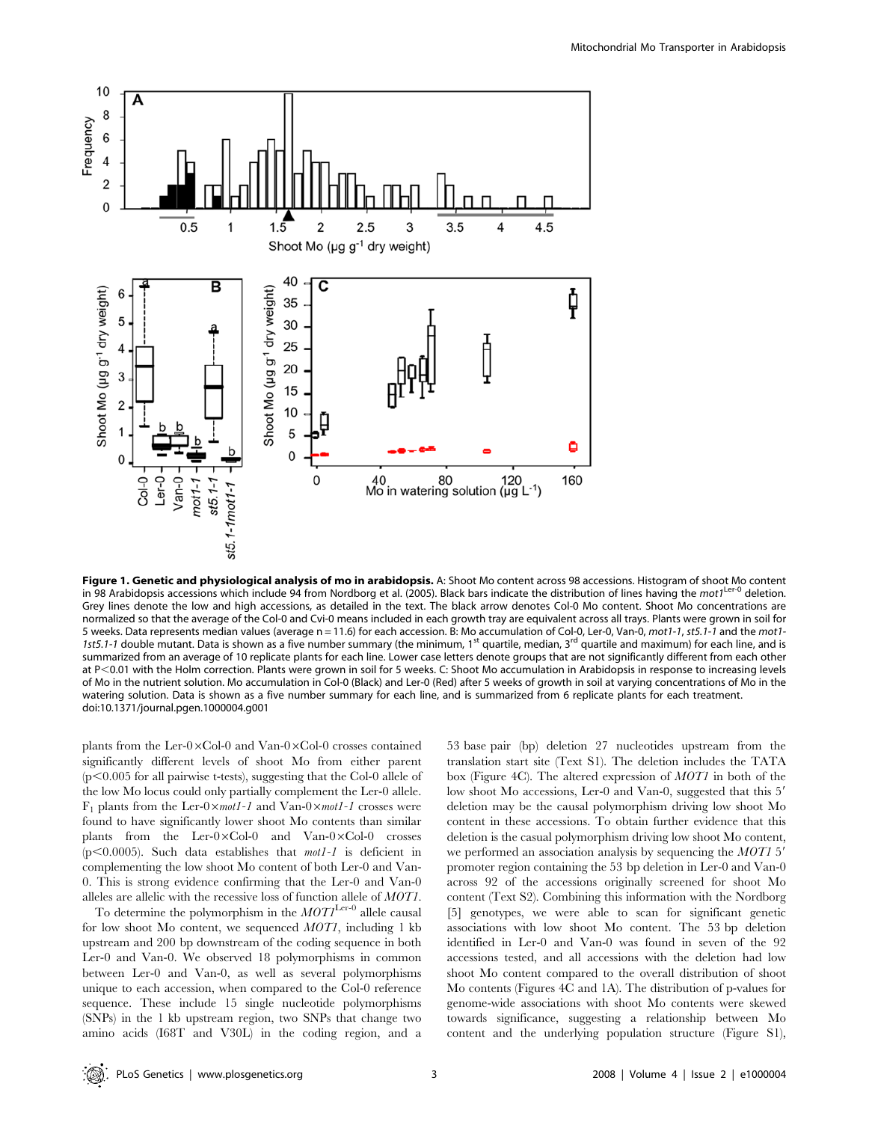

Figure 1. Genetic and physiological analysis of mo in arabidopsis. A: Shoot Mo content across 98 accessions. Histogram of shoot Mo content in 98 Arabidopsis accessions which include 94 from Nordborg et al. (2005). Black bars indicate the distribution of lines having the mot $1^{\text{Ler-O}}$  deletion. Grey lines denote the low and high accessions, as detailed in the text. The black arrow denotes Col-0 Mo content. Shoot Mo concentrations are normalized so that the average of the Col-0 and Cvi-0 means included in each growth tray are equivalent across all trays. Plants were grown in soil for 5 weeks. Data represents median values (average n = 11.6) for each accession. B: Mo accumulation of Col-0, Ler-0, Van-0, mot1-1, st5.1-1 and the mot1- 1st5.1-1 double mutant. Data is shown as a five number summary (the minimum, 1<sup>st</sup> quartile, median, 3<sup>rd</sup> quartile and maximum) for each line, and is summarized from an average of 10 replicate plants for each line. Lower case letters denote groups that are not significantly different from each other at P<0.01 with the Holm correction. Plants were grown in soil for 5 weeks. C: Shoot Mo accumulation in Arabidopsis in response to increasing levels of Mo in the nutrient solution. Mo accumulation in Col-0 (Black) and Ler-0 (Red) after 5 weeks of growth in soil at varying concentrations of Mo in the watering solution. Data is shown as a five number summary for each line, and is summarized from 6 replicate plants for each treatment. doi:10.1371/journal.pgen.1000004.g001

plants from the Ler-0 $\times$ Col-0 and Van-0 $\times$ Col-0 crosses contained significantly different levels of shoot Mo from either parent  $(p<0.005$  for all pairwise t-tests), suggesting that the Col-0 allele of the low Mo locus could only partially complement the Ler-0 allele.  $F_1$  plants from the Ler-0 $\times$ *mot1-1* and Van-0 $\times$ *mot1-1* crosses were found to have significantly lower shoot Mo contents than similar plants from the Ler- $0 \times \text{Col-0}$  and Van- $0 \times \text{Col-0}$  crosses ( $p$ <0.0005). Such data establishes that *mot1-1* is deficient in complementing the low shoot Mo content of both Ler-0 and Van-0. This is strong evidence confirming that the Ler-0 and Van-0 alleles are allelic with the recessive loss of function allele of MOT1.

To determine the polymorphism in the  $MOT<sup>Ler-0</sup>$  allele causal for low shoot Mo content, we sequenced MOT1, including 1 kb upstream and 200 bp downstream of the coding sequence in both Ler-0 and Van-0. We observed 18 polymorphisms in common between Ler-0 and Van-0, as well as several polymorphisms unique to each accession, when compared to the Col-0 reference sequence. These include 15 single nucleotide polymorphisms (SNPs) in the 1 kb upstream region, two SNPs that change two amino acids (I68T and V30L) in the coding region, and a

53 base pair (bp) deletion 27 nucleotides upstream from the translation start site (Text S1). The deletion includes the TATA box (Figure 4C). The altered expression of MOT1 in both of the low shoot Mo accessions, Ler-0 and Van-0, suggested that this 5' deletion may be the causal polymorphism driving low shoot Mo content in these accessions. To obtain further evidence that this deletion is the casual polymorphism driving low shoot Mo content, we performed an association analysis by sequencing the  $MOT1$  5' promoter region containing the 53 bp deletion in Ler-0 and Van-0 across 92 of the accessions originally screened for shoot Mo content (Text S2). Combining this information with the Nordborg [5] genotypes, we were able to scan for significant genetic associations with low shoot Mo content. The 53 bp deletion identified in Ler-0 and Van-0 was found in seven of the 92 accessions tested, and all accessions with the deletion had low shoot Mo content compared to the overall distribution of shoot Mo contents (Figures 4C and 1A). The distribution of p-values for genome-wide associations with shoot Mo contents were skewed towards significance, suggesting a relationship between Mo content and the underlying population structure (Figure S1),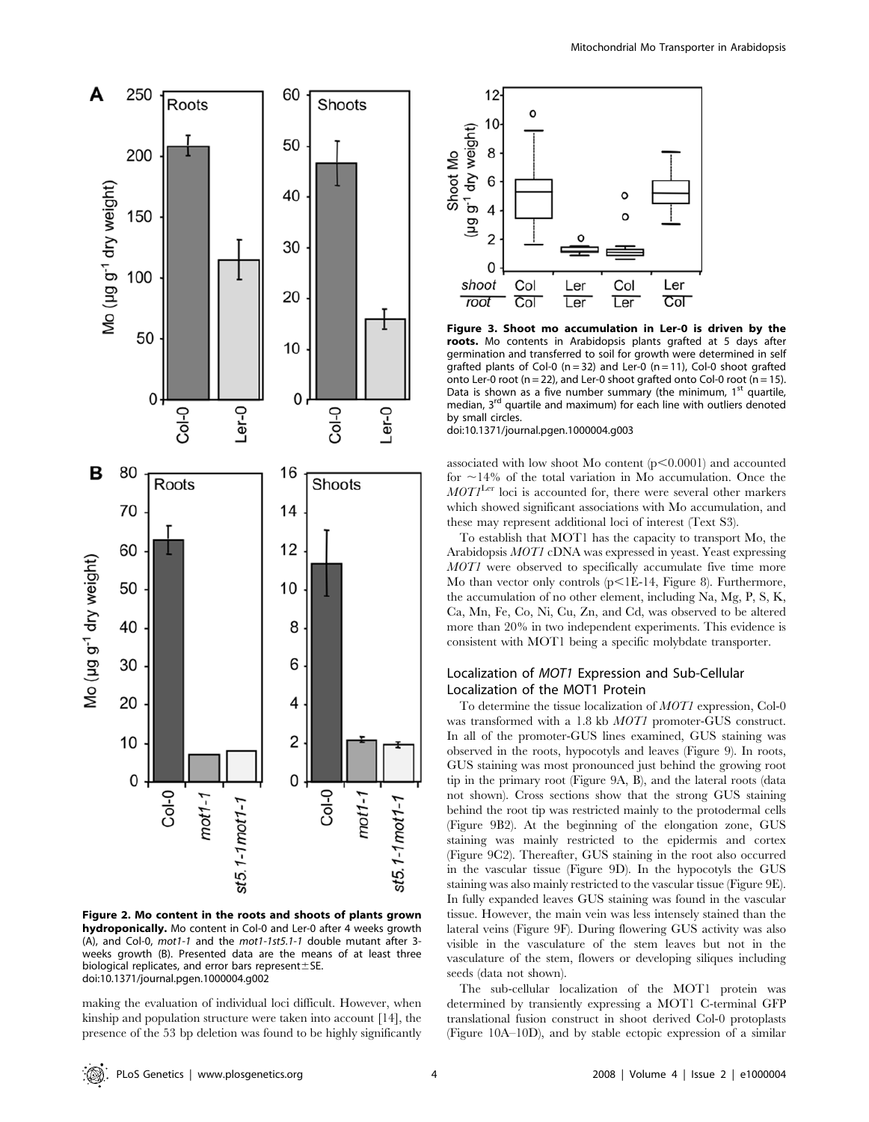

Figure 2. Mo content in the roots and shoots of plants grown hydroponically. Mo content in Col-0 and Ler-0 after 4 weeks growth (A), and Col-0, mot1-1 and the mot1-1st5.1-1 double mutant after 3 weeks growth (B). Presented data are the means of at least three biological replicates, and error bars represent $\pm$ SE. doi:10.1371/journal.pgen.1000004.g002

making the evaluation of individual loci difficult. However, when kinship and population structure were taken into account [14], the presence of the 53 bp deletion was found to be highly significantly



Figure 3. Shoot mo accumulation in Ler-0 is driven by the roots. Mo contents in Arabidopsis plants grafted at 5 days after germination and transferred to soil for growth were determined in self grafted plants of Col-0 ( $n = 32$ ) and Ler-0 ( $n = 11$ ), Col-0 shoot grafted onto Ler-0 root ( $n = 22$ ), and Ler-0 shoot grafted onto Col-0 root ( $n = 15$ ). Data is shown as a five number summary (the minimum,  $1<sup>st</sup>$  quartile, median, 3<sup>rd</sup> quartile and maximum) for each line with outliers denoted by small circles.

doi:10.1371/journal.pgen.1000004.g003

associated with low shoot Mo content  $(p<0.0001)$  and accounted for  $\sim$ 14% of the total variation in Mo accumulation. Once the  $MOTI<sup>Ler</sup>$  loci is accounted for, there were several other markers which showed significant associations with Mo accumulation, and these may represent additional loci of interest (Text S3).

To establish that MOT1 has the capacity to transport Mo, the Arabidopsis MOT1 cDNA was expressed in yeast. Yeast expressing MOT1 were observed to specifically accumulate five time more Mo than vector only controls  $(p<1E-14,$  Figure 8). Furthermore, the accumulation of no other element, including Na, Mg, P, S, K, Ca, Mn, Fe, Co, Ni, Cu, Zn, and Cd, was observed to be altered more than 20% in two independent experiments. This evidence is consistent with MOT1 being a specific molybdate transporter.

## Localization of MOT1 Expression and Sub-Cellular Localization of the MOT1 Protein

To determine the tissue localization of MOT1 expression, Col-0 was transformed with a 1.8 kb MOT1 promoter-GUS construct. In all of the promoter-GUS lines examined, GUS staining was observed in the roots, hypocotyls and leaves (Figure 9). In roots, GUS staining was most pronounced just behind the growing root tip in the primary root (Figure 9A, B), and the lateral roots (data not shown). Cross sections show that the strong GUS staining behind the root tip was restricted mainly to the protodermal cells (Figure 9B2). At the beginning of the elongation zone, GUS staining was mainly restricted to the epidermis and cortex (Figure 9C2). Thereafter, GUS staining in the root also occurred in the vascular tissue (Figure 9D). In the hypocotyls the GUS staining was also mainly restricted to the vascular tissue (Figure 9E). In fully expanded leaves GUS staining was found in the vascular tissue. However, the main vein was less intensely stained than the lateral veins (Figure 9F). During flowering GUS activity was also visible in the vasculature of the stem leaves but not in the vasculature of the stem, flowers or developing siliques including seeds (data not shown).

The sub-cellular localization of the MOT1 protein was determined by transiently expressing a MOT1 C-terminal GFP translational fusion construct in shoot derived Col-0 protoplasts (Figure 10A–10D), and by stable ectopic expression of a similar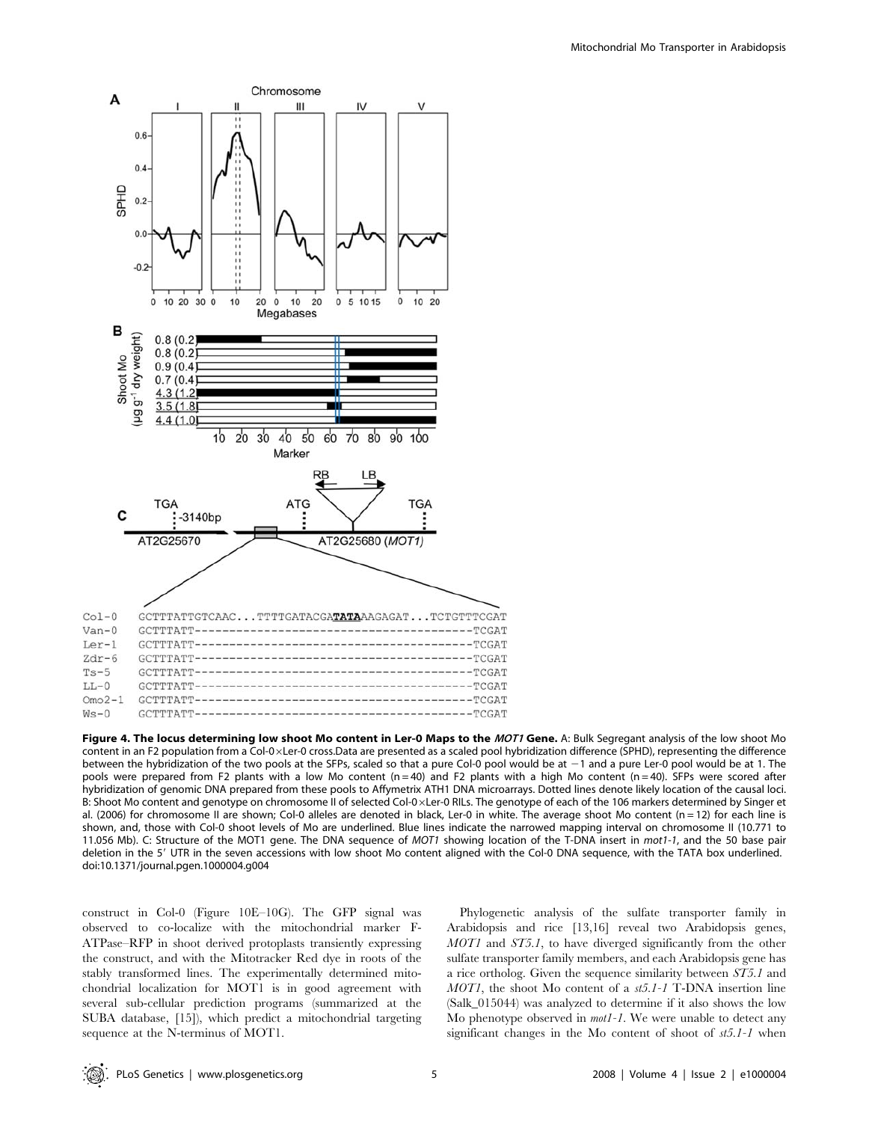

Figure 4. The locus determining low shoot Mo content in Ler-0 Maps to the MOT1 Gene. A: Bulk Segregant analysis of the low shoot Mo content in an F2 population from a Col-0xLer-0 cross.Data are presented as a scaled pool hybridization difference (SPHD), representing the difference between the hybridization of the two pools at the SFPs, scaled so that a pure Col-0 pool would be at  $-1$  and a pure Ler-0 pool would be at 1. The pools were prepared from F2 plants with a low Mo content (n=40) and F2 plants with a high Mo content (n=40). SFPs were scored after hybridization of genomic DNA prepared from these pools to Affymetrix ATH1 DNA microarrays. Dotted lines denote likely location of the causal loci. B: Shoot Mo content and genotype on chromosome II of selected Col-0xLer-0 RILs. The genotype of each of the 106 markers determined by Singer et al. (2006) for chromosome II are shown; Col-0 alleles are denoted in black, Ler-0 in white. The average shoot Mo content (n = 12) for each line is shown, and, those with Col-0 shoot levels of Mo are underlined. Blue lines indicate the narrowed mapping interval on chromosome II (10.771 to 11.056 Mb). C: Structure of the MOT1 gene. The DNA sequence of MOT1 showing location of the T-DNA insert in mot1-1, and the 50 base pair deletion in the 5' UTR in the seven accessions with low shoot Mo content aligned with the Col-0 DNA sequence, with the TATA box underlined. doi:10.1371/journal.pgen.1000004.g004

construct in Col-0 (Figure 10E–10G). The GFP signal was observed to co-localize with the mitochondrial marker F-ATPase–RFP in shoot derived protoplasts transiently expressing the construct, and with the Mitotracker Red dye in roots of the stably transformed lines. The experimentally determined mitochondrial localization for MOT1 is in good agreement with several sub-cellular prediction programs (summarized at the SUBA database, [15]), which predict a mitochondrial targeting sequence at the N-terminus of MOT1.

Phylogenetic analysis of the sulfate transporter family in Arabidopsis and rice [13,16] reveal two Arabidopsis genes, MOT1 and ST5.1, to have diverged significantly from the other sulfate transporter family members, and each Arabidopsis gene has a rice ortholog. Given the sequence similarity between ST5.1 and MOT1, the shoot Mo content of a st5.1-1 T-DNA insertion line (Salk\_015044) was analyzed to determine if it also shows the low Mo phenotype observed in *mot1-1*. We were unable to detect any significant changes in the Mo content of shoot of st5.1-1 when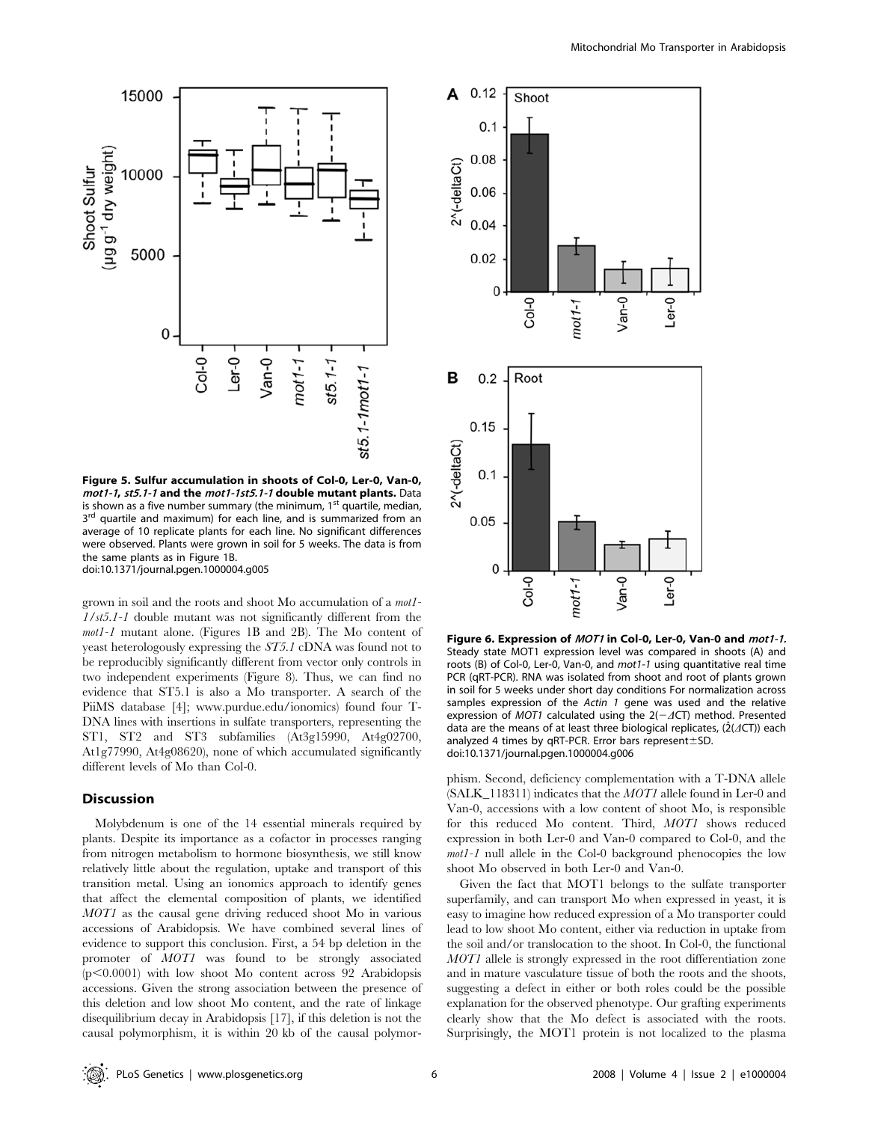

Figure 5. Sulfur accumulation in shoots of Col-0, Ler-0, Van-0, mot1-1, st5.1-1 and the mot1-1st5.1-1 double mutant plants. Data is shown as a five number summary (the minimum,  $1<sup>st</sup>$  quartile, median, 3<sup>rd</sup> quartile and maximum) for each line, and is summarized from an average of 10 replicate plants for each line. No significant differences were observed. Plants were grown in soil for 5 weeks. The data is from the same plants as in Figure 1B. doi:10.1371/journal.pgen.1000004.g005

grown in soil and the roots and shoot Mo accumulation of a mot1- 1/st5.1-1 double mutant was not significantly different from the mot1-1 mutant alone. (Figures 1B and 2B). The Mo content of yeast heterologously expressing the ST5.1 cDNA was found not to be reproducibly significantly different from vector only controls in two independent experiments (Figure 8). Thus, we can find no evidence that ST5.1 is also a Mo transporter. A search of the PiiMS database [4]; www.purdue.edu/ionomics) found four T-DNA lines with insertions in sulfate transporters, representing the ST1, ST2 and ST3 subfamilies (At3g15990, At4g02700, At1g77990, At4g08620), none of which accumulated significantly different levels of Mo than Col-0.

## Discussion

Molybdenum is one of the 14 essential minerals required by plants. Despite its importance as a cofactor in processes ranging from nitrogen metabolism to hormone biosynthesis, we still know relatively little about the regulation, uptake and transport of this transition metal. Using an ionomics approach to identify genes that affect the elemental composition of plants, we identified MOT1 as the causal gene driving reduced shoot Mo in various accessions of Arabidopsis. We have combined several lines of evidence to support this conclusion. First, a 54 bp deletion in the promoter of MOT1 was found to be strongly associated  $(p<0.0001)$  with low shoot Mo content across 92 Arabidopsis accessions. Given the strong association between the presence of this deletion and low shoot Mo content, and the rate of linkage disequilibrium decay in Arabidopsis [17], if this deletion is not the causal polymorphism, it is within 20 kb of the causal polymor-



Figure 6. Expression of MOT1 in Col-0, Ler-0, Van-0 and mot1-1. Steady state MOT1 expression level was compared in shoots (A) and roots (B) of Col-0, Ler-0, Van-0, and mot1-1 using quantitative real time PCR (qRT-PCR). RNA was isolated from shoot and root of plants grown in soil for 5 weeks under short day conditions For normalization across samples expression of the Actin 1 gene was used and the relative expression of MOT1 calculated using the  $2(-AT)$  method. Presented data are the means of at least three biological replicates, ( $2(ACT)$ ) each analyzed 4 times by qRT-PCR. Error bars represent $\pm$ SD. doi:10.1371/journal.pgen.1000004.g006

phism. Second, deficiency complementation with a T-DNA allele (SALK\_118311) indicates that the MOT1 allele found in Ler-0 and Van-0, accessions with a low content of shoot Mo, is responsible for this reduced Mo content. Third, MOT1 shows reduced expression in both Ler-0 and Van-0 compared to Col-0, and the mot1-1 null allele in the Col-0 background phenocopies the low shoot Mo observed in both Ler-0 and Van-0.

Given the fact that MOT1 belongs to the sulfate transporter superfamily, and can transport Mo when expressed in yeast, it is easy to imagine how reduced expression of a Mo transporter could lead to low shoot Mo content, either via reduction in uptake from the soil and/or translocation to the shoot. In Col-0, the functional MOT1 allele is strongly expressed in the root differentiation zone and in mature vasculature tissue of both the roots and the shoots, suggesting a defect in either or both roles could be the possible explanation for the observed phenotype. Our grafting experiments clearly show that the Mo defect is associated with the roots. Surprisingly, the MOT1 protein is not localized to the plasma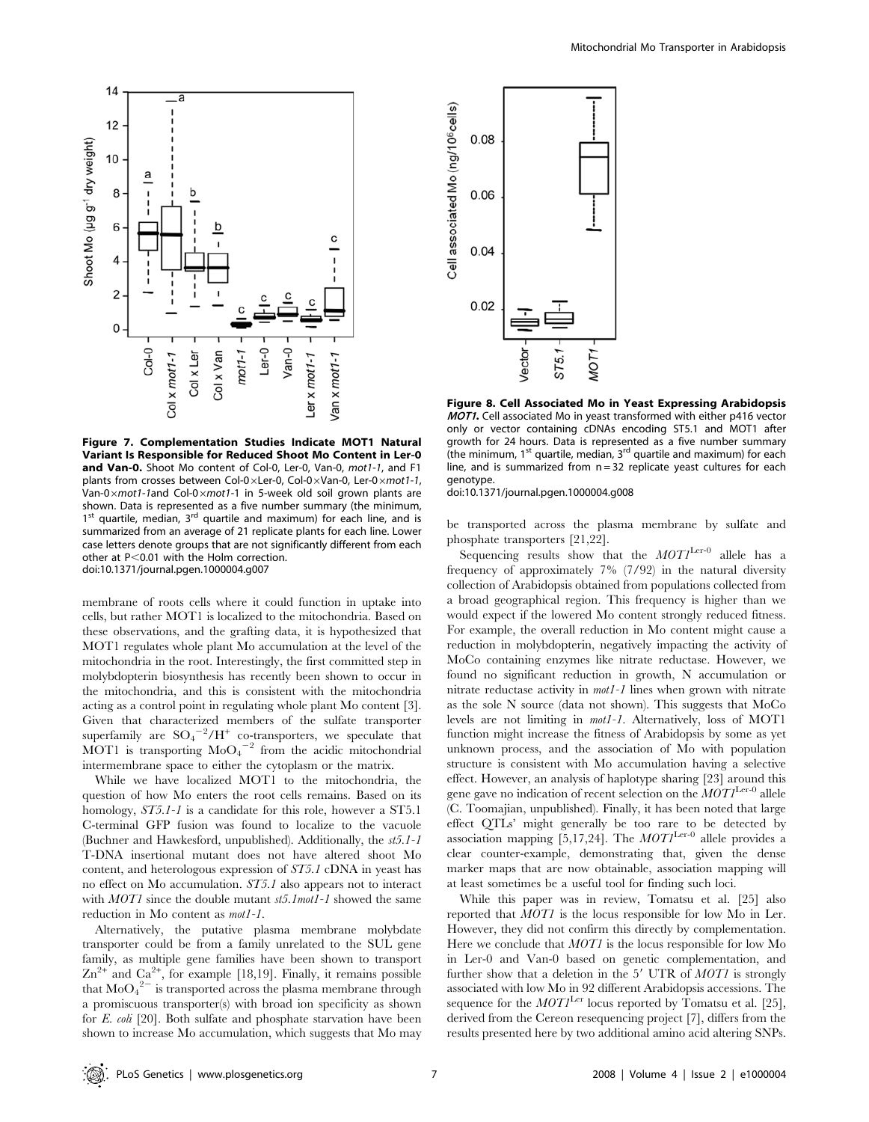

Figure 7. Complementation Studies Indicate MOT1 Natural Variant Is Responsible for Reduced Shoot Mo Content in Ler-0 and Van-0. Shoot Mo content of Col-0, Ler-0, Van-0, mot1-1, and F1 plants from crosses between Col-0 $\times$ Ler-0, Col-0 $\times$ Van-0, Ler-0 $\times$ mot1-1, Van-0 $\times$ mot1-1and Col-0 $\times$ mot1-1 in 5-week old soil grown plants are shown. Data is represented as a five number summary (the minimum,  $1<sup>st</sup>$  quartile, median,  $3<sup>rd</sup>$  quartile and maximum) for each line, and is summarized from an average of 21 replicate plants for each line. Lower case letters denote groups that are not significantly different from each other at  $P<0.01$  with the Holm correction. doi:10.1371/journal.pgen.1000004.g007

membrane of roots cells where it could function in uptake into cells, but rather MOT1 is localized to the mitochondria. Based on these observations, and the grafting data, it is hypothesized that MOT1 regulates whole plant Mo accumulation at the level of the mitochondria in the root. Interestingly, the first committed step in molybdopterin biosynthesis has recently been shown to occur in the mitochondria, and this is consistent with the mitochondria acting as a control point in regulating whole plant Mo content [3]. Given that characterized members of the sulfate transporter superfamily are  $SO_4^{-2}/H^+$  co-transporters, we speculate that MOT1 is transporting  $\text{MoO}_4^{-2}$  from the acidic mitochondrial intermembrane space to either the cytoplasm or the matrix.

While we have localized MOT1 to the mitochondria, the question of how Mo enters the root cells remains. Based on its homology,  $ST5.1$ -1 is a candidate for this role, however a ST5.1 C-terminal GFP fusion was found to localize to the vacuole (Buchner and Hawkesford, unpublished). Additionally, the st5.1-1 T-DNA insertional mutant does not have altered shoot Mo content, and heterologous expression of ST5.1 cDNA in yeast has no effect on Mo accumulation. ST5.1 also appears not to interact with MOT1 since the double mutant st5.1mot1-1 showed the same reduction in Mo content as mot1-1.

Alternatively, the putative plasma membrane molybdate transporter could be from a family unrelated to the SUL gene family, as multiple gene families have been shown to transport  $\text{Zn}^{2+}$  and  $\text{Ca}^{2+}$ , for example [18,19]. Finally, it remains possible that  $\mathrm{MoO_4}^{2-}$  is transported across the plasma membrane through a promiscuous transporter(s) with broad ion specificity as shown for E. coli [20]. Both sulfate and phosphate starvation have been shown to increase Mo accumulation, which suggests that Mo may



Figure 8. Cell Associated Mo in Yeast Expressing Arabidopsis **MOT1.** Cell associated Mo in yeast transformed with either p416 vector only or vector containing cDNAs encoding ST5.1 and MOT1 after growth for 24 hours. Data is represented as a five number summary (the minimum,  $1^{st}$  quartile, median,  $3^{rd}$  quartile and maximum) for each line, and is summarized from  $n = 32$  replicate yeast cultures for each genotype.

doi:10.1371/journal.pgen.1000004.g008

be transported across the plasma membrane by sulfate and phosphate transporters [21,22].

Sequencing results show that the  $MOTI^{\text{Ler-0}}$  allele has a frequency of approximately 7% (7/92) in the natural diversity collection of Arabidopsis obtained from populations collected from a broad geographical region. This frequency is higher than we would expect if the lowered Mo content strongly reduced fitness. For example, the overall reduction in Mo content might cause a reduction in molybdopterin, negatively impacting the activity of MoCo containing enzymes like nitrate reductase. However, we found no significant reduction in growth, N accumulation or nitrate reductase activity in mot1-1 lines when grown with nitrate as the sole N source (data not shown). This suggests that MoCo levels are not limiting in mot1-1. Alternatively, loss of MOT1 function might increase the fitness of Arabidopsis by some as yet unknown process, and the association of Mo with population structure is consistent with Mo accumulation having a selective effect. However, an analysis of haplotype sharing [23] around this gene gave no indication of recent selection on the  $MOTI<sup>Ler-0</sup>$  allele (C. Toomajian, unpublished). Finally, it has been noted that large effect QTLs' might generally be too rare to be detected by association mapping [5,17,24]. The  $MOTI<sup>Ler-0</sup>$  allele provides a clear counter-example, demonstrating that, given the dense marker maps that are now obtainable, association mapping will at least sometimes be a useful tool for finding such loci.

While this paper was in review, Tomatsu et al. [25] also reported that MOT1 is the locus responsible for low Mo in Ler. However, they did not confirm this directly by complementation. Here we conclude that MOT1 is the locus responsible for low Mo in Ler-0 and Van-0 based on genetic complementation, and further show that a deletion in the  $5'$  UTR of  $MOT1$  is strongly associated with low Mo in 92 different Arabidopsis accessions. The sequence for the  $MOTI<sup>Ler</sup>$  locus reported by Tomatsu et al. [25], derived from the Cereon resequencing project [7], differs from the results presented here by two additional amino acid altering SNPs.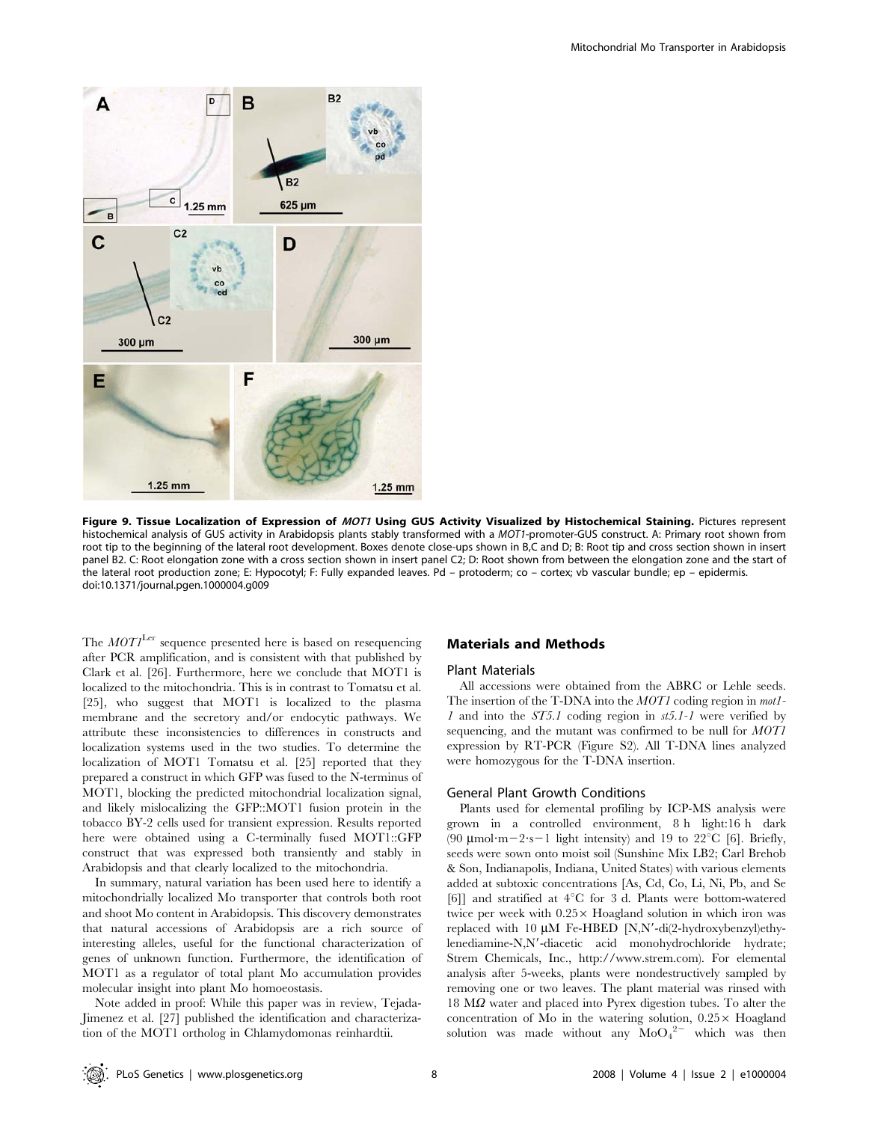

Figure 9. Tissue Localization of Expression of MOT1 Using GUS Activity Visualized by Histochemical Staining. Pictures represent histochemical analysis of GUS activity in Arabidopsis plants stably transformed with a MOT1-promoter-GUS construct. A: Primary root shown from root tip to the beginning of the lateral root development. Boxes denote close-ups shown in B,C and D; B: Root tip and cross section shown in insert panel B2. C: Root elongation zone with a cross section shown in insert panel C2; D: Root shown from between the elongation zone and the start of the lateral root production zone; E: Hypocotyl; F: Fully expanded leaves. Pd – protoderm; co – cortex; vb vascular bundle; ep – epidermis. doi:10.1371/journal.pgen.1000004.g009

The  $MOT<sup>Lex</sup>$  sequence presented here is based on resequencing after PCR amplification, and is consistent with that published by Clark et al. [26]. Furthermore, here we conclude that MOT1 is localized to the mitochondria. This is in contrast to Tomatsu et al. [25], who suggest that MOT1 is localized to the plasma membrane and the secretory and/or endocytic pathways. We attribute these inconsistencies to differences in constructs and localization systems used in the two studies. To determine the localization of MOT1 Tomatsu et al. [25] reported that they prepared a construct in which GFP was fused to the N-terminus of MOT1, blocking the predicted mitochondrial localization signal, and likely mislocalizing the GFP::MOT1 fusion protein in the tobacco BY-2 cells used for transient expression. Results reported here were obtained using a C-terminally fused MOT1::GFP construct that was expressed both transiently and stably in Arabidopsis and that clearly localized to the mitochondria.

In summary, natural variation has been used here to identify a mitochondrially localized Mo transporter that controls both root and shoot Mo content in Arabidopsis. This discovery demonstrates that natural accessions of Arabidopsis are a rich source of interesting alleles, useful for the functional characterization of genes of unknown function. Furthermore, the identification of MOT1 as a regulator of total plant Mo accumulation provides molecular insight into plant Mo homoeostasis.

Note added in proof: While this paper was in review, Tejada-Jimenez et al. [27] published the identification and characterization of the MOT1 ortholog in Chlamydomonas reinhardtii.

## Materials and Methods

#### Plant Materials

All accessions were obtained from the ABRC or Lehle seeds. The insertion of the T-DNA into the *MOT1* coding region in *mot1*-1 and into the ST5.1 coding region in st5.1-1 were verified by sequencing, and the mutant was confirmed to be null for MOT1 expression by RT-PCR (Figure S2). All T-DNA lines analyzed were homozygous for the T-DNA insertion.

#### General Plant Growth Conditions

Plants used for elemental profiling by ICP-MS analysis were grown in a controlled environment, 8 h light:16 h dark (90  $\mu$ mol·m $-2$ ·s $-1$  light intensity) and 19 to 22<sup>°</sup>C [6]. Briefly, seeds were sown onto moist soil (Sunshine Mix LB2; Carl Brehob & Son, Indianapolis, Indiana, United States) with various elements added at subtoxic concentrations [As, Cd, Co, Li, Ni, Pb, and Se [6]] and stratified at  $4^{\circ}$ C for 3 d. Plants were bottom-watered twice per week with  $0.25 \times$  Hoagland solution in which iron was replaced with 10  $\mu$ M Fe-HBED [N,N'-di(2-hydroxybenzyl)ethylenediamine-N,N'-diacetic acid monohydrochloride hydrate; Strem Chemicals, Inc., http://www.strem.com). For elemental analysis after 5-weeks, plants were nondestructively sampled by removing one or two leaves. The plant material was rinsed with  $18 \text{ M}\Omega$  water and placed into Pyrex digestion tubes. To alter the concentration of Mo in the watering solution,  $0.25 \times$  Hoagland solution was made without any  $\text{MoO}_4^{2-}$  which was then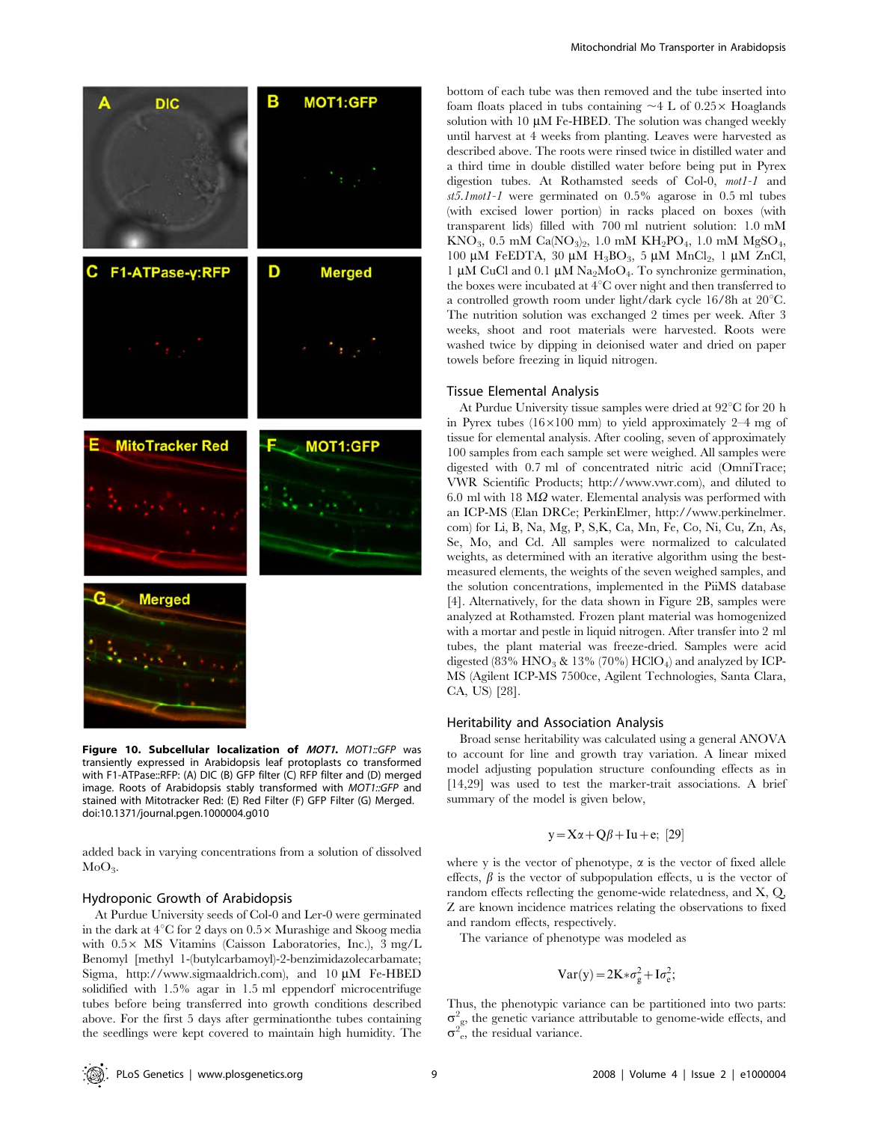

Figure 10. Subcellular localization of MOT1. MOT1::GFP was transiently expressed in Arabidopsis leaf protoplasts co transformed with F1-ATPase::RFP: (A) DIC (B) GFP filter (C) RFP filter and (D) merged image. Roots of Arabidopsis stably transformed with MOT1::GFP and stained with Mitotracker Red: (E) Red Filter (F) GFP Filter (G) Merged. doi:10.1371/journal.pgen.1000004.g010

added back in varying concentrations from a solution of dissolved  $MoO<sub>3</sub>$ .

#### Hydroponic Growth of Arabidopsis

At Purdue University seeds of Col-0 and Ler-0 were germinated in the dark at  $4^{\circ}$ C for 2 days on  $0.5 \times$  Murashige and Skoog media with  $0.5 \times$  MS Vitamins (Caisson Laboratories, Inc.), 3 mg/L Benomyl [methyl 1-(butylcarbamoyl)-2-benzimidazolecarbamate; Sigma, http://www.sigmaaldrich.com), and  $10 \mu M$  Fe-HBED solidified with 1.5% agar in 1.5 ml eppendorf microcentrifuge tubes before being transferred into growth conditions described above. For the first 5 days after germinationthe tubes containing the seedlings were kept covered to maintain high humidity. The bottom of each tube was then removed and the tube inserted into foam floats placed in tubs containing  $\sim$  4 L of 0.25 $\times$  Hoaglands solution with 10  $\mu$ M Fe-HBED. The solution was changed weekly until harvest at 4 weeks from planting. Leaves were harvested as described above. The roots were rinsed twice in distilled water and a third time in double distilled water before being put in Pyrex digestion tubes. At Rothamsted seeds of Col-0, mot1-1 and st5.1mot1-1 were germinated on 0.5% agarose in 0.5 ml tubes (with excised lower portion) in racks placed on boxes (with transparent lids) filled with 700 ml nutrient solution: 1.0 mM  $KNO<sub>3</sub>$ , 0.5 mM  $Ca(NO<sub>3</sub>)<sub>2</sub>$ , 1.0 mM  $KH<sub>2</sub>PO<sub>4</sub>$ , 1.0 mM  $MgSO<sub>4</sub>$ , 100 µM FeEDTA, 30 µM  $H_3BO_3$ , 5 µM MnCl<sub>2</sub>, 1 µM ZnCl, 1 µM CuCl and 0.1 µM Na<sub>2</sub>MoO<sub>4</sub>. To synchronize germination, the boxes were incubated at  $4^{\circ}$ C over night and then transferred to a controlled growth room under light/dark cycle  $16/8h$  at  $20^{\circ}$ C. The nutrition solution was exchanged 2 times per week. After 3 weeks, shoot and root materials were harvested. Roots were washed twice by dipping in deionised water and dried on paper towels before freezing in liquid nitrogen.

#### Tissue Elemental Analysis

At Purdue University tissue samples were dried at  $92^{\circ}$ C for 20 h in Pyrex tubes  $(16\times100 \text{ mm})$  to yield approximately 2–4 mg of tissue for elemental analysis. After cooling, seven of approximately 100 samples from each sample set were weighed. All samples were digested with 0.7 ml of concentrated nitric acid (OmniTrace; VWR Scientific Products; http://www.vwr.com), and diluted to 6.0 ml with 18  $\text{M}\Omega$  water. Elemental analysis was performed with an ICP-MS (Elan DRCe; PerkinElmer, http://www.perkinelmer. com) for Li, B, Na, Mg, P, S,K, Ca, Mn, Fe, Co, Ni, Cu, Zn, As, Se, Mo, and Cd. All samples were normalized to calculated weights, as determined with an iterative algorithm using the bestmeasured elements, the weights of the seven weighed samples, and the solution concentrations, implemented in the PiiMS database [4]. Alternatively, for the data shown in Figure 2B, samples were analyzed at Rothamsted. Frozen plant material was homogenized with a mortar and pestle in liquid nitrogen. After transfer into 2 ml tubes, the plant material was freeze-dried. Samples were acid digested (83%  $HNO<sub>3</sub>$  & 13% (70%)  $HClO<sub>4</sub>$ ) and analyzed by ICP-MS (Agilent ICP-MS 7500ce, Agilent Technologies, Santa Clara, CA, US) [28].

#### Heritability and Association Analysis

Broad sense heritability was calculated using a general ANOVA to account for line and growth tray variation. A linear mixed model adjusting population structure confounding effects as in [14,29] was used to test the marker-trait associations. A brief summary of the model is given below,

## $y = X\alpha + Q\beta + Iu + e$ ; [29]

where y is the vector of phenotype,  $\alpha$  is the vector of fixed allele effects,  $\beta$  is the vector of subpopulation effects, u is the vector of random effects reflecting the genome-wide relatedness, and X, Q, Z are known incidence matrices relating the observations to fixed and random effects, respectively.

The variance of phenotype was modeled as

$$
Var(y) = 2K * \sigma_g^2 + I\sigma_e^2;
$$

Thus, the phenotypic variance can be partitioned into two parts:  $\sigma_{\text{gs}}^2$ , the genetic variance attributable to genome-wide effects, and  $\sigma^2$ <sup>e</sup>, the residual variance.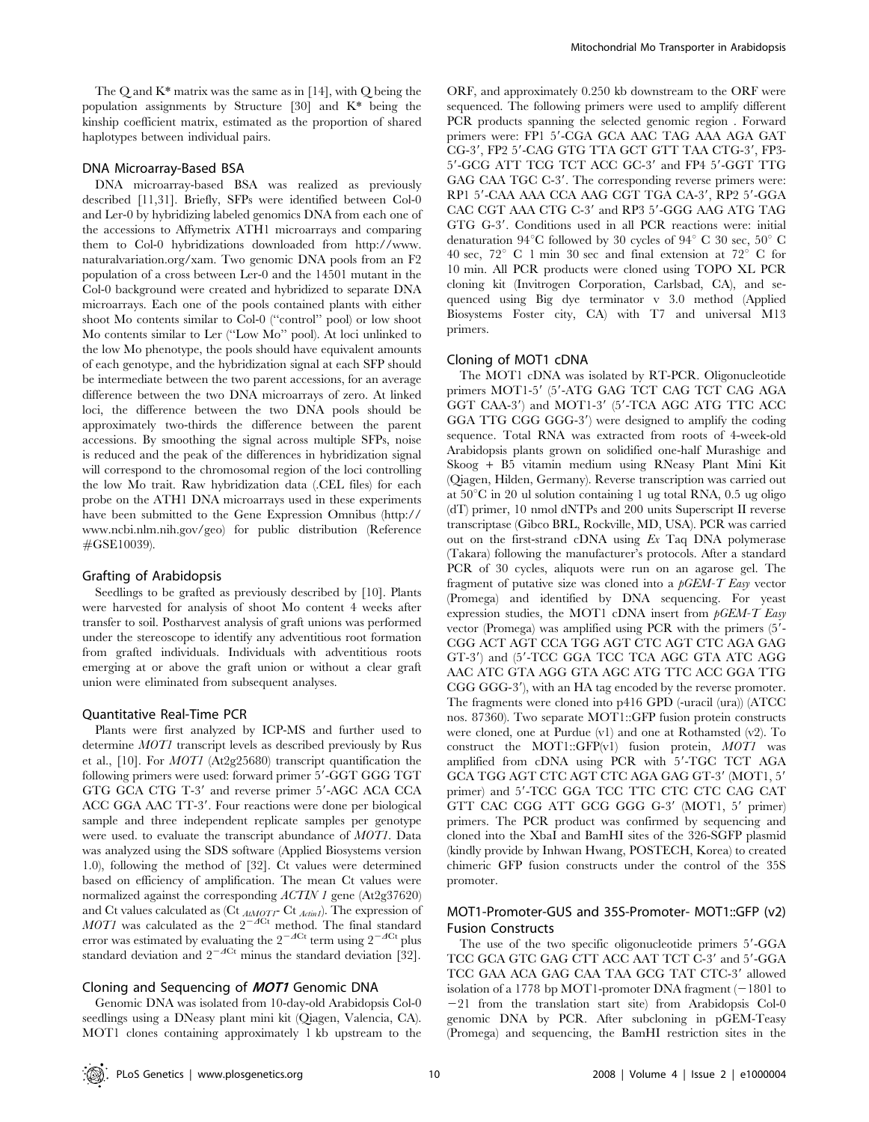The Q and K\* matrix was the same as in [14], with Q being the population assignments by Structure [30] and K\* being the kinship coefficient matrix, estimated as the proportion of shared haplotypes between individual pairs.

## DNA Microarray-Based BSA

DNA microarray-based BSA was realized as previously described [11,31]. Briefly, SFPs were identified between Col-0 and Ler-0 by hybridizing labeled genomics DNA from each one of the accessions to Affymetrix ATH1 microarrays and comparing them to Col-0 hybridizations downloaded from http://www. naturalvariation.org/xam. Two genomic DNA pools from an F2 population of a cross between Ler-0 and the 14501 mutant in the Col-0 background were created and hybridized to separate DNA microarrays. Each one of the pools contained plants with either shoot Mo contents similar to Col-0 (''control'' pool) or low shoot Mo contents similar to Ler (''Low Mo'' pool). At loci unlinked to the low Mo phenotype, the pools should have equivalent amounts of each genotype, and the hybridization signal at each SFP should be intermediate between the two parent accessions, for an average difference between the two DNA microarrays of zero. At linked loci, the difference between the two DNA pools should be approximately two-thirds the difference between the parent accessions. By smoothing the signal across multiple SFPs, noise is reduced and the peak of the differences in hybridization signal will correspond to the chromosomal region of the loci controlling the low Mo trait. Raw hybridization data (.CEL files) for each probe on the ATH1 DNA microarrays used in these experiments have been submitted to the Gene Expression Omnibus (http:// www.ncbi.nlm.nih.gov/geo) for public distribution (Reference #GSE10039).

#### Grafting of Arabidopsis

Seedlings to be grafted as previously described by [10]. Plants were harvested for analysis of shoot Mo content 4 weeks after transfer to soil. Postharvest analysis of graft unions was performed under the stereoscope to identify any adventitious root formation from grafted individuals. Individuals with adventitious roots emerging at or above the graft union or without a clear graft union were eliminated from subsequent analyses.

#### Quantitative Real-Time PCR

Plants were first analyzed by ICP-MS and further used to determine MOT1 transcript levels as described previously by Rus et al., [10]. For MOT1 (At2g25680) transcript quantification the following primers were used: forward primer 5'-GGT GGG TGT GTG GCA CTG T-3' and reverse primer 5'-AGC ACA CCA ACC GGA AAC TT-3'. Four reactions were done per biological sample and three independent replicate samples per genotype were used. to evaluate the transcript abundance of MOT1. Data was analyzed using the SDS software (Applied Biosystems version 1.0), following the method of [32]. Ct values were determined based on efficiency of amplification. The mean Ct values were normalized against the corresponding *ACTIN 1* gene (At2g37620) and Ct values calculated as (Ct  $_{AtMOTI}$ - Ct  $_{ActinI}$ ). The expression of MOT1 was calculated as the  $2^{-A}Ct$  method. The final standard error was estimated by evaluating the  $2^{-\Delta Ct}$  term using  $2^{-\Delta Ct}$  plus standard deviation and  $2^{-ACt}$  minus the standard deviation [32].

#### Cloning and Sequencing of MOT1 Genomic DNA

Genomic DNA was isolated from 10-day-old Arabidopsis Col-0 seedlings using a DNeasy plant mini kit (Qiagen, Valencia, CA). MOT1 clones containing approximately 1 kb upstream to the

ORF, and approximately 0.250 kb downstream to the ORF were sequenced. The following primers were used to amplify different PCR products spanning the selected genomic region . Forward primers were: FP1 5'-CGA GCA AAC TAG AAA AGA GAT CG-3', FP2 5'-CAG GTG TTA GCT GTT TAA CTG-3', FP3-5'-GCG ATT TCG TCT ACC GC-3' and FP4 5'-GGT TTG GAG CAA TGC C-3'. The corresponding reverse primers were: RP1 5'-CAA AAA CCA AAG CGT TGA CA-3', RP2 5'-GGA CAC CGT AAA CTG C-3' and RP3 5'-GGG AAG ATG TAG GTG G-3'. Conditions used in all PCR reactions were: initial denaturation 94 $\rm ^{\circ}C$  followed by 30 cycles of 94 $\rm ^{\circ}$  C 30 sec, 50 $\rm ^{\circ}$  C 40 sec,  $72^{\circ}$  C 1 min 30 sec and final extension at  $72^{\circ}$  C for 10 min. All PCR products were cloned using TOPO XL PCR cloning kit (Invitrogen Corporation, Carlsbad, CA), and sequenced using Big dye terminator v 3.0 method (Applied Biosystems Foster city, CA) with T7 and universal M13 primers.

#### Cloning of MOT1 cDNA

The MOT1 cDNA was isolated by RT-PCR. Oligonucleotide primers MOT1-5' (5'-ATG GAG TCT CAG TCT CAG AGA GGT CAA-3') and MOT1-3' (5'-TCA AGC ATG TTC ACC GGA TTG CGG GGG-3') were designed to amplify the coding sequence. Total RNA was extracted from roots of 4-week-old Arabidopsis plants grown on solidified one-half Murashige and Skoog + B5 vitamin medium using RNeasy Plant Mini Kit (Qiagen, Hilden, Germany). Reverse transcription was carried out at  $50^{\circ}$ C in 20 ul solution containing 1 ug total RNA, 0.5 ug oligo (dT) primer, 10 nmol dNTPs and 200 units Superscript II reverse transcriptase (Gibco BRL, Rockville, MD, USA). PCR was carried out on the first-strand cDNA using Ex Taq DNA polymerase (Takara) following the manufacturer's protocols. After a standard PCR of 30 cycles, aliquots were run on an agarose gel. The fragment of putative size was cloned into a  $pGEM-T$  Easy vector (Promega) and identified by DNA sequencing. For yeast expression studies, the MOT1 cDNA insert from  $pGEM-T$  Easy vector (Promega) was amplified using PCR with the primers (5'-CGG ACT AGT CCA TGG AGT CTC AGT CTC AGA GAG GT-3') and (5'-TCC GGA TCC TCA AGC GTA ATC AGG AAC ATC GTA AGG GTA AGC ATG TTC ACC GGA TTG CGG GGG-3'), with an HA tag encoded by the reverse promoter. The fragments were cloned into p416 GPD (-uracil (ura)) (ATCC nos. 87360). Two separate MOT1::GFP fusion protein constructs were cloned, one at Purdue (v1) and one at Rothamsted (v2). To construct the MOT1::GFP $(v1)$  fusion protein, MOT1 was amplified from cDNA using PCR with 5'-TGC TCT AGA GCA TGG AGT CTC AGT CTC AGA GAG GT-3' (MOT1, 5' primer) and 5'-TCC GGA TCC TTC CTC CTC CAG CAT GTT CAC CGG ATT GCG GGG G-3' (MOT1, 5' primer) primers. The PCR product was confirmed by sequencing and cloned into the XbaI and BamHI sites of the 326-SGFP plasmid (kindly provide by Inhwan Hwang, POSTECH, Korea) to created chimeric GFP fusion constructs under the control of the 35S promoter.

## MOT1-Promoter-GUS and 35S-Promoter- MOT1::GFP (v2) Fusion Constructs

The use of the two specific oligonucleotide primers 5'-GGA TCC GCA GTC GAG CTT ACC AAT TCT C-3' and 5'-GGA TCC GAA ACA GAG CAA TAA GCG TAT CTC-3' allowed isolation of a 1778 bp MOT1-promoter DNA fragment  $(-1801$  to  $-21$  from the translation start site) from Arabidopsis Col-0 genomic DNA by PCR. After subcloning in pGEM-Teasy (Promega) and sequencing, the BamHI restriction sites in the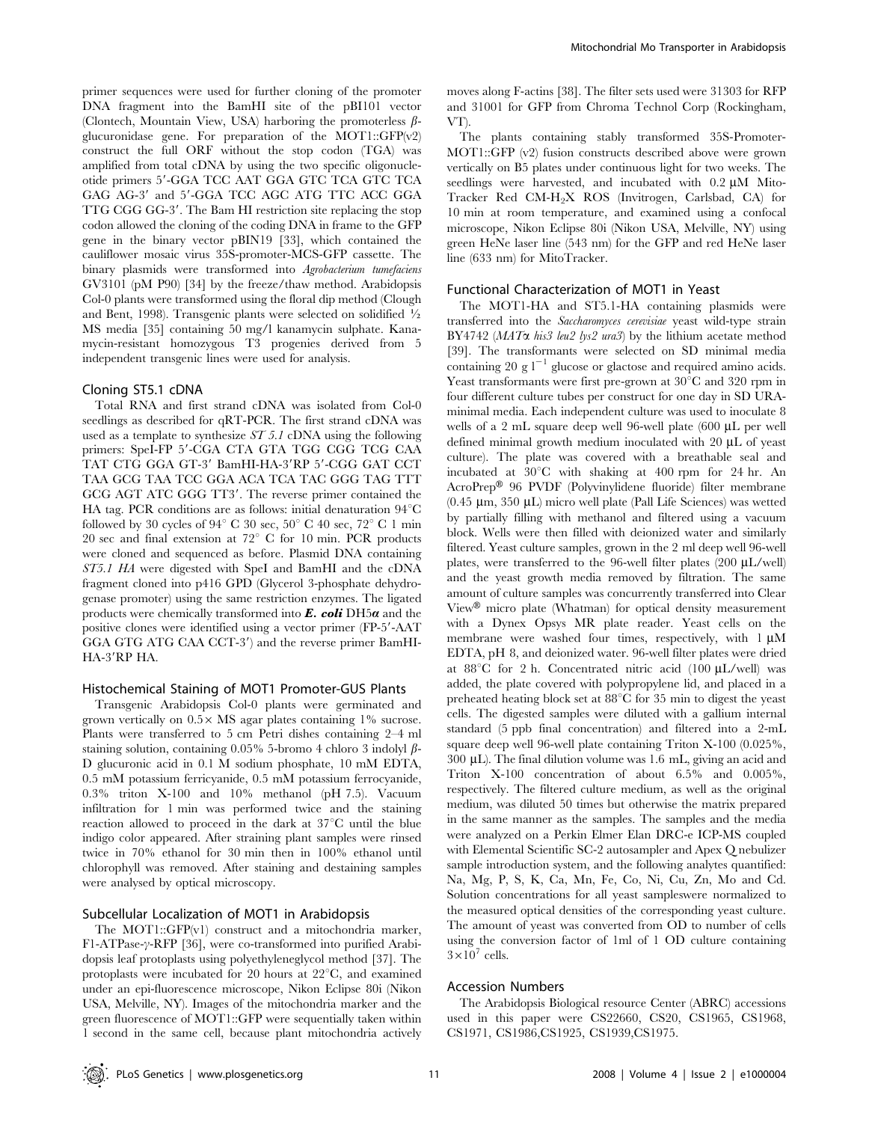primer sequences were used for further cloning of the promoter DNA fragment into the BamHI site of the pBI101 vector (Clontech, Mountain View, USA) harboring the promoterless  $\beta$ glucuronidase gene. For preparation of the MOT1::GFP(v2) construct the full ORF without the stop codon (TGA) was amplified from total cDNA by using the two specific oligonucleotide primers 5'-GGA TCC AAT GGA GTC TCA GTC TCA GAG AG-3' and 5'-GGA TCC AGC ATG TTC ACC GGA TTG CGG GG-3'. The Bam HI restriction site replacing the stop codon allowed the cloning of the coding DNA in frame to the GFP gene in the binary vector pBIN19 [33], which contained the cauliflower mosaic virus 35S-promoter-MCS-GFP cassette. The binary plasmids were transformed into Agrobacterium tumefaciens GV3101 (pM P90) [34] by the freeze/thaw method. Arabidopsis Col-0 plants were transformed using the floral dip method (Clough and Bent, 1998). Transgenic plants were selected on solidified  $\frac{1}{2}$ MS media [35] containing 50 mg/l kanamycin sulphate. Kanamycin-resistant homozygous T3 progenies derived from 5 independent transgenic lines were used for analysis.

#### Cloning ST5.1 cDNA

Total RNA and first strand cDNA was isolated from Col-0 seedlings as described for qRT-PCR. The first strand cDNA was used as a template to synthesize ST 5.1 cDNA using the following primers: SpeI-FP 5'-CGA CTA GTA TGG CGG TCG CAA TAT CTG GGA GT-3' BamHI-HA-3'RP 5'-CGG GAT CCT TAA GCG TAA TCC GGA ACA TCA TAC GGG TAG TTT GCG AGT ATC GGG TT3'. The reverse primer contained the HA tag. PCR conditions are as follows: initial denaturation  $94^{\circ}$ C followed by 30 cycles of 94 $^{\circ}$  C 30 sec, 50 $^{\circ}$  C 40 sec, 72 $^{\circ}$  C 1 min 20 sec and final extension at  $72^{\circ}$  C for 10 min. PCR products were cloned and sequenced as before. Plasmid DNA containing ST5.1 HA were digested with SpeI and BamHI and the cDNA fragment cloned into p416 GPD (Glycerol 3-phosphate dehydrogenase promoter) using the same restriction enzymes. The ligated products were chemically transformed into  $\vec{E}$ . coli DH5 $\alpha$  and the positive clones were identified using a vector primer (FP-5'-AAT GGA GTG ATG CAA CCT-3') and the reverse primer BamHI-HA-3'RP HA.

#### Histochemical Staining of MOT1 Promoter-GUS Plants

Transgenic Arabidopsis Col-0 plants were germinated and grown vertically on  $0.5 \times$  MS agar plates containing 1% sucrose. Plants were transferred to 5 cm Petri dishes containing 2–4 ml staining solution, containing 0.05% 5-bromo 4 chloro 3 indolyl  $\beta$ -D glucuronic acid in 0.1 M sodium phosphate, 10 mM EDTA, 0.5 mM potassium ferricyanide, 0.5 mM potassium ferrocyanide, 0.3% triton X-100 and 10% methanol (pH 7.5). Vacuum infiltration for 1 min was performed twice and the staining reaction allowed to proceed in the dark at  $37^{\circ}$ C until the blue indigo color appeared. After straining plant samples were rinsed twice in 70% ethanol for 30 min then in 100% ethanol until chlorophyll was removed. After staining and destaining samples were analysed by optical microscopy.

#### Subcellular Localization of MOT1 in Arabidopsis

The MOT1::GFP(v1) construct and a mitochondria marker,  $F1-ATPase-\gamma-RFP$  [36], were co-transformed into purified Arabidopsis leaf protoplasts using polyethyleneglycol method [37]. The protoplasts were incubated for 20 hours at  $22^{\circ}$ C, and examined under an epi-fluorescence microscope, Nikon Eclipse 80i (Nikon USA, Melville, NY). Images of the mitochondria marker and the green fluorescence of MOT1::GFP were sequentially taken within 1 second in the same cell, because plant mitochondria actively

moves along F-actins [38]. The filter sets used were 31303 for RFP and 31001 for GFP from Chroma Technol Corp (Rockingham, VT).

The plants containing stably transformed 35S-Promoter-MOT1::GFP (v2) fusion constructs described above were grown vertically on B5 plates under continuous light for two weeks. The seedlings were harvested, and incubated with  $0.2 \mu M$  Mito-Tracker Red CM-H2X ROS (Invitrogen, Carlsbad, CA) for 10 min at room temperature, and examined using a confocal microscope, Nikon Eclipse 80i (Nikon USA, Melville, NY) using green HeNe laser line (543 nm) for the GFP and red HeNe laser line (633 nm) for MitoTracker.

#### Functional Characterization of MOT1 in Yeast

The MOT1-HA and ST5.1-HA containing plasmids were transferred into the Saccharomyces cerevisiae yeast wild-type strain BY4742 ( $MAT\alpha$  his3 leu2 lys2 ura3) by the lithium acetate method [39]. The transformants were selected on SD minimal media containing 20 g  $l^{-1}$  glucose or glactose and required amino acids. Yeast transformants were first pre-grown at  $30^{\circ}$ C and  $320$  rpm in four different culture tubes per construct for one day in SD URAminimal media. Each independent culture was used to inoculate 8 wells of a 2 mL square deep well 96-well plate (600 µL per well defined minimal growth medium inoculated with  $20 \mu L$  of yeast culture). The plate was covered with a breathable seal and incubated at  $30^{\circ}$ C with shaking at 400 rpm for 24 hr. An AcroPrep® 96 PVDF (Polyvinylidene fluoride) filter membrane (0.45  $\mu$ m, 350  $\mu$ L) micro well plate (Pall Life Sciences) was wetted by partially filling with methanol and filtered using a vacuum block. Wells were then filled with deionized water and similarly filtered. Yeast culture samples, grown in the 2 ml deep well 96-well plates, were transferred to the 96-well filter plates  $(200 \mu L/well)$ and the yeast growth media removed by filtration. The same amount of culture samples was concurrently transferred into Clear View<sup>®</sup> micro plate (Whatman) for optical density measurement with a Dynex Opsys MR plate reader. Yeast cells on the membrane were washed four times, respectively, with  $1 \mu M$ EDTA, pH 8, and deionized water. 96-well filter plates were dried at 88 $\degree$ C for 2 h. Concentrated nitric acid (100  $\mu$ L/well) was added, the plate covered with polypropylene lid, and placed in a preheated heating block set at 88°C for 35 min to digest the yeast cells. The digested samples were diluted with a gallium internal standard (5 ppb final concentration) and filtered into a 2-mL square deep well 96-well plate containing Triton X-100 (0.025%,  $300 \mu L$ ). The final dilution volume was 1.6 mL, giving an acid and Triton X-100 concentration of about 6.5% and 0.005%, respectively. The filtered culture medium, as well as the original medium, was diluted 50 times but otherwise the matrix prepared in the same manner as the samples. The samples and the media were analyzed on a Perkin Elmer Elan DRC-e ICP-MS coupled with Elemental Scientific SC-2 autosampler and Apex Q nebulizer sample introduction system, and the following analytes quantified: Na, Mg, P, S, K, Ca, Mn, Fe, Co, Ni, Cu, Zn, Mo and Cd. Solution concentrations for all yeast sampleswere normalized to the measured optical densities of the corresponding yeast culture. The amount of yeast was converted from OD to number of cells using the conversion factor of 1ml of 1 OD culture containing  $3\times10^7$  cells.

#### Accession Numbers

The Arabidopsis Biological resource Center (ABRC) accessions used in this paper were CS22660, CS20, CS1965, CS1968, CS1971, CS1986,CS1925, CS1939,CS1975.